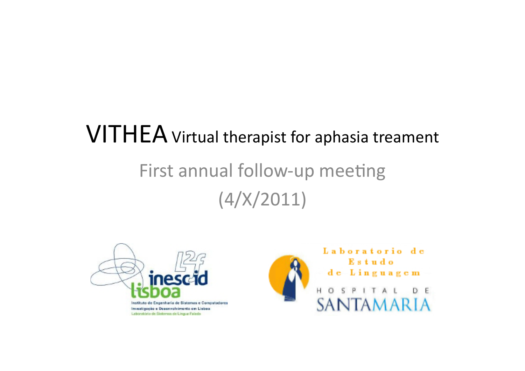# **VITHEA** Virtual therapist for aphasia treament First annual follow-up meeting  $(4/X/2011)$



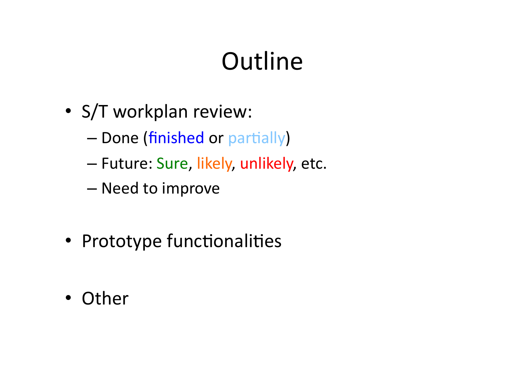# **Outline**

- S/T workplan review:
	- Done (finished or partially)
	- Future: Sure, likely, unlikely, etc.
	- Need to improve
- Prototype functionalities
- Other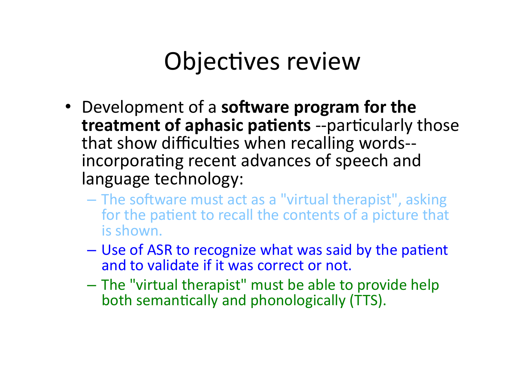## Objectives review

- Development of a **software program for the treatment of aphasic patients** --particularly those that show difficulties when recalling words-incorporating recent advances of speech and language technology:
	- The software must act as a "virtual therapist", asking for the patient to recall the contents of a picture that is shown.
	- Use of ASR to recognize what was said by the patient and to validate if it was correct or not.
	- The "virtual therapist" must be able to provide help both semantically and phonologically (TTS).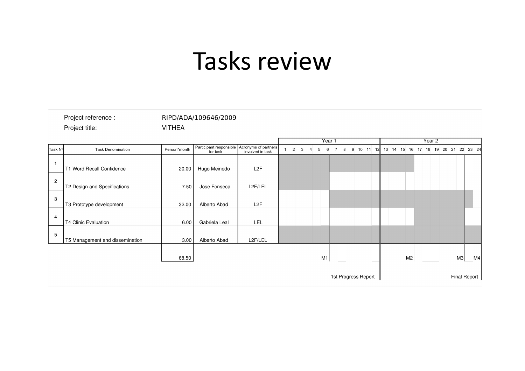## Tasks review

| Project reference :<br>Project title: |                                 | <b>VITHEA</b> | RIPD/ADA/109646/2009                                     |                  |        |                     |  |    |   |   |  |                     |        |  |  |  |  |                |  |  |  |  |    |  |                                     |
|---------------------------------------|---------------------------------|---------------|----------------------------------------------------------|------------------|--------|---------------------|--|----|---|---|--|---------------------|--------|--|--|--|--|----------------|--|--|--|--|----|--|-------------------------------------|
|                                       |                                 |               |                                                          |                  | Year 1 |                     |  |    |   |   |  |                     | Year 2 |  |  |  |  |                |  |  |  |  |    |  |                                     |
| Task Nº                               | <b>Task Denomination</b>        | Person*month  | Participant responsible Acronyms of partners<br>for task | involved in task |        | $\overline{2}$<br>3 |  | 5  | 6 | 8 |  | 9 10 11 12          |        |  |  |  |  |                |  |  |  |  |    |  | 13 14 15 16 17 18 19 20 21 22 23 24 |
| $\mathbf{1}$                          | T1 Word Recall Confidence       | 20.00         | Hugo Meinedo                                             | L <sub>2</sub> F |        |                     |  |    |   |   |  |                     |        |  |  |  |  |                |  |  |  |  |    |  |                                     |
| $\overline{c}$                        | T2 Design and Specifications    | 7.50          | Jose Fonseca                                             | L2F/LEL          |        |                     |  |    |   |   |  |                     |        |  |  |  |  |                |  |  |  |  |    |  |                                     |
| 3                                     | T3 Prototype development        | 32.00         | Alberto Abad                                             | L <sub>2</sub> F |        |                     |  |    |   |   |  |                     |        |  |  |  |  |                |  |  |  |  |    |  |                                     |
| $\overline{4}$                        | <b>T4 Clinic Evaluation</b>     | 6.00          | Gabriela Leal                                            | LEL              |        |                     |  |    |   |   |  |                     |        |  |  |  |  |                |  |  |  |  |    |  |                                     |
| 5                                     | T5 Management and dissemination | 3.00          | Alberto Abad                                             | L2F/LEL          |        |                     |  |    |   |   |  |                     |        |  |  |  |  |                |  |  |  |  |    |  |                                     |
|                                       |                                 | 68.50         |                                                          |                  |        |                     |  | M1 |   |   |  |                     |        |  |  |  |  | M <sub>2</sub> |  |  |  |  | M3 |  | M4                                  |
| 1st Progress Report                   |                                 |               |                                                          |                  |        |                     |  |    |   |   |  | <b>Final Report</b> |        |  |  |  |  |                |  |  |  |  |    |  |                                     |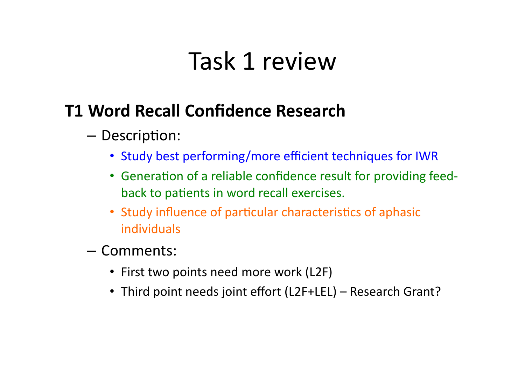## Task 1 review

### **T1(Word(Recall(Confidence(Research(**

- Description:
	- Study best performing/more efficient techniques for IWR
	- Generation of a reliable confidence result for providing feedback to patients in word recall exercises.
	- Study influence of particular characteristics of aphasic individuals'
- Comments:'
	- First two points need more work (L2F)
	- Third point needs joint effort (L2F+LEL) Research Grant?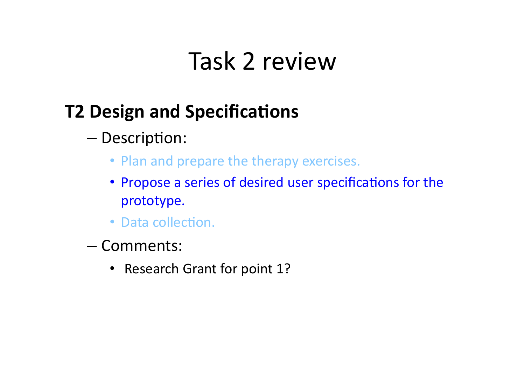## Task 2 review

## **T2 Design and Specifications**

- Description:
	- Plan and prepare the therapy exercises.
	- Propose a series of desired user specifications for the prototype.
	- Data collection.
- Comments:'
	- Research Grant for point 1?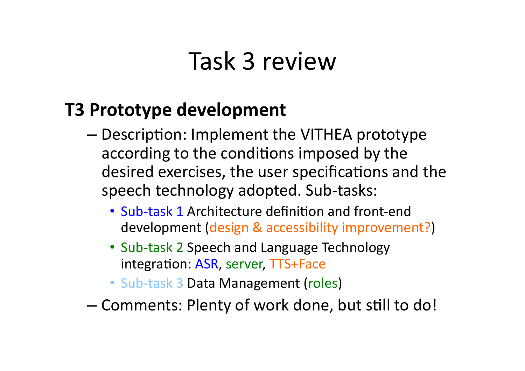## Task 3 review

### **T3 Prototype development**

- Description: Implement the VITHEA prototype according to the conditions imposed by the desired exercises, the user specifications and the speech technology adopted. Sub-tasks:
	- Sub-task 1 Architecture definition and front-end development (design & accessibility improvement?)
	- Sub-task 2 Speech and Language Technology integration: ASR, server, TTS+Face
	- Sub-task 3 Data Management (roles)
- Comments: Plenty of work done, but still to do!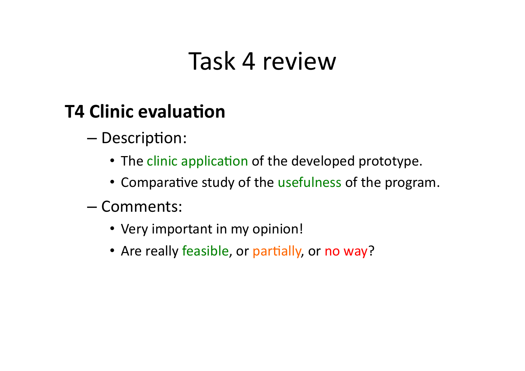## Task 4 review

## **T4 Clinic evaluation**

- Description:
	- The clinic application of the developed prototype.
	- Comparative study of the usefulness of the program.
- Comments:''
	- Very important in my opinion!
	- Are really feasible, or partially, or no way?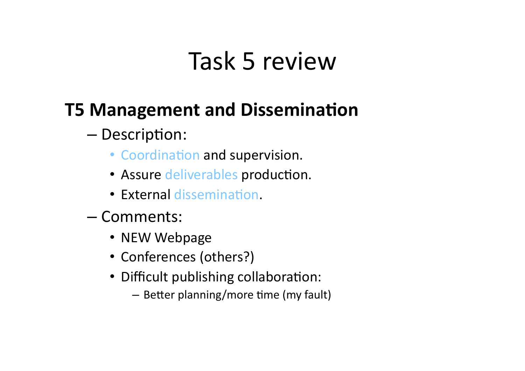## Task 5 review

## **T5 Management and Dissemination**

### – Description:

- Coordination and supervision.
- Assure deliverables production.
- External dissemination.
- Comments:'
	- NEW Webpage
	- Conferences (others?)
	- Difficult publishing collaboration:
		- Better planning/more time (my fault)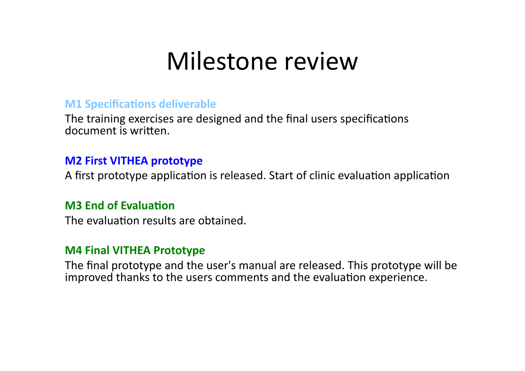## Milestone review

#### **M1 Specifications deliverable**

The training exercises are designed and the final users specifications document is written.

#### **M2 First VITHEA prototype**

A first prototype application is released. Start of clinic evaluation application

#### **M3 End of Evaluation**

The evaluation results are obtained.

#### **M4 Final VITHEA Prototype**

The final prototype and the user's manual are released. This prototype will be improved thanks to the users comments and the evaluation experience.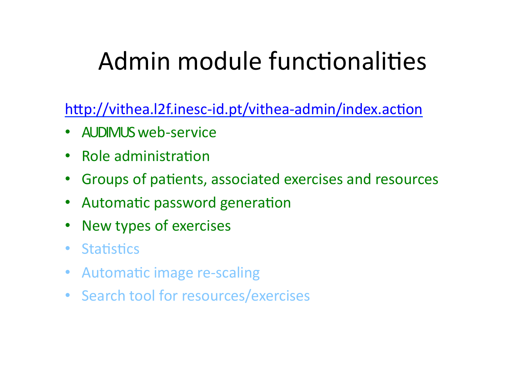# Admin module functionalities

http://vithea.l2f.inesc-id.pt/vithea-admin/index.action

- AUDIMUS web-service
- Role administration
- Groups of patients, associated exercises and resources
- Automatic password generation
- New types of exercises
- Statistics
- Automatic image re-scaling
- Search tool for resources/exercises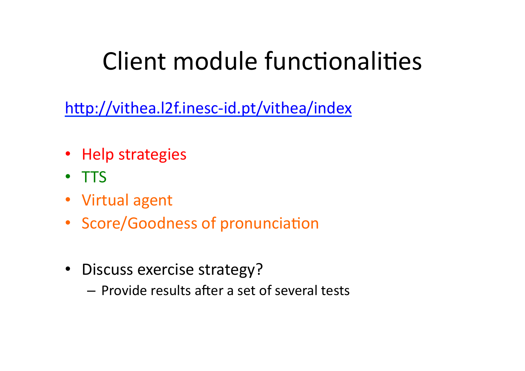# Client module functionalities

http://vithea.I2f.inesc-id.pt/vithea/index

- Help strategies
- TTS
- Virtual agent
- Score/Goodness of pronunciation
- Discuss exercise strategy?
	- Provide results after a set of several tests